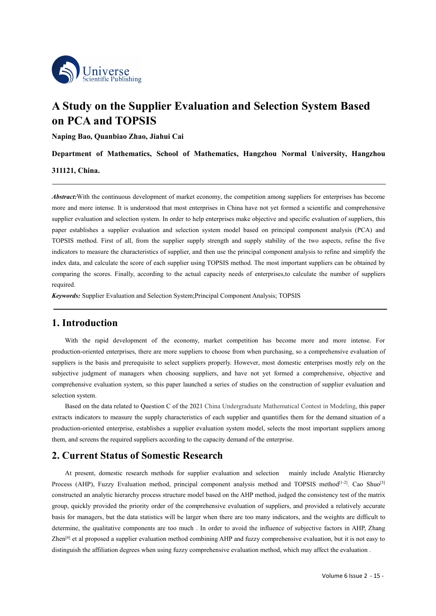

# **A Study on the Supplier Evaluation and Selection System Based<br>
on PCA and TOPSIS**<br>
Naping Bao, Quanbiao Zhao, Jiahui Cai<br>
Department of Mathematics, School of Mathematics, Hangzhou Normal University, Hangzhou<br>
Department **b**<br> **on PCA and TOPSIS**<br> **on PCA and TOPSIS**<br> **on PCA and TOPSIS**<br> **Naping Bao, Quanbiao Zhao, Jiahui Cai**<br> **Department of Mathematics, School of Mathematics, Hangzhou Nori<br>
311121, China. Napidian Scientific Publishing<br>
A Study on the Supplier Evaluation and Selectio<br>
on PCA and TOPSIS<br>
Naping Bao, Quanbiao Zhao, Jiahui Cai<br>
Department of Mathematics, School of Mathematics, Hangzhou No<br>
311121, China. Department of Mathematics, School of Mathematics, Hangzhou Normal University, Hangzhou Normal State (Separtment of Mathematics, School of Mathematics, Hangzhou Normal University, Hangzhou<br>
2007 - Mathematics, School of Ma 311121, China.**<br> **311121, China.**<br> **311121, China.**<br> **311121, China.**<br> **311121, China.**<br> **311121, China.**<br> *Abstract:***With the continuous development of market more and more intense. It is understood that most entity and**

*A* **Study on the Supplier Evaluation and Selection System Based<br>
<b>On PCA and TOPSIS**<br>
Naping Bao, Quanbiao Zhao, Jiahui Cai<br>
Department of Mathematics, School of Mathematics, Hangzhou Normal University, Hangzhou<br> *Abstrac* more and more intense. It is understood that most enterprises. Hangzhou Normal University, Hangzhou<br>
Maping Bao, Quanbiao Zhao, Jiahui Cai<br>
Department of Mathematics, School of Mathematics, Hangzhou Normal University, Hang **Supplier Supplier CA ANDI 1 OF SIS**<br> **Supplier Broad School of Mathematics, Hangzhou Normal University, Hangzhou**<br> **Department of Mathematics, School of Mathematics, Hangzhou Normal University, Hangzhou<br>** *Abstract:* **With Naping Bao, Quanbiao Zhao, Jiahui Cai**<br> **Department of Mathematics, School of Mathematics, Hangzhou Normal University, Hangzhou<br>
311121, China.**<br> *Abstract:* With the continuous development of market economy, the competit **Department of Mathematics, School of Mathematics, Hangzhou Normal University, Hangzhou<br>
311121, China.**<br> *Abstract:* **With the continuous development of market economy, the competition among suppliers for enterprises has Example 19 Transfer Constrained Constraines, SCHOOT OF MATHEMBALES, FRINGE/IOU NOTTHAT UNVETSITY, FRINGE/IOU<br>
Abstract: With the continuous development of market economy, the competition among suppliers for enterprises ha 311121, China.**<br> *Abstract:* **With the continuous development of market economy, the competition among suppliers for enterprises has become more and more intense. It is understood that most enterprises in China have not y Abstract:** With the continuous development of market economy, the competition among suppliers for enterprises has become more and more intense. It is understood that most enterprises in China have not yet formed a scienti required. *Keywords:* Supplier Evaluation and Selection System;Principal Component Analysis; TOPSIS<br>**ALCONDUCT: KEYWORD: KEYWORD: KEYWORD: KEYWORD: KEYWORD: KEYWORD: KEYWORD: KEYWORD: KEYWORD: KEYWORD: KEYWORD: 1.1121, China.**<br> **1.1121, China.**<br> **1.1121, China.**<br> **1.121, China.**<br> **1.121, China.**<br> **1.121,** China. In continuous development of market economy, t<br>
more and more intense. It is understood that most enterprises in<br>
supp So matero means the characteristics of supplier supply structure the principal component analysis to refine and simplify the data, and calculate the scores of each supplier using TOPSIS method. The most important suppliers

mindex data, and calculate the socret of each supplier using TOPSIS method. The most important suppliers can be obtained by<br>comparing the scores. Finally, according to the actual capacity needs of enterprises, to calculate suppliers in the subjective independent of the actual capacity needs of enterprises, to calculate the number of suppliers<br>required.<br>**Keywords:** Supplier Evaluation and Selection System;Principal Component Analysis; TOPSIS<br> stephent of managers when choosing suppliers, and have not yet formed a competition of suppliers<br> **1. Introduction**<br>
With the rapid development of the economy, market competition has become more and more intense. For<br>
prod **Component Analysis; TOPSIS**<br> **Components:** Supplier Evaluation and Selection System; Principal Component Analysis; TOPSIS<br> **1. Introduction**<br>
With the rapid development of the economy, market competition has become more a **1. Introduction**<br>With the rapid development of the economistic with the rapid development of the economistic production-oriented enterprises, there are more suppliers is the basis and prerequisite to select subjective jud **Introduction**<br>
With the rapid development of the economy, market competition has become more and more intense. For<br>
uction-oriented enterprises, there are more suppliers properly. However, most domestic enterprises mostly **1. Introduction**<br>With the rapid development of the economy, market competition has become more and more intense. For<br>production-oriented enterprises, there are more suppliers to choose from when purchasing, so a comprehen With the rapid development of the economy, market competition has become more and more intense. For production-oriented enterprises, there are more suppliers to choose from when purchasing, so a comprehensive evaluation of with the rapid development of the economy, market competition has become more and more ments<br>production-oriented enterprises, there are more suppliers properly. However, most domestic enterprises mostly rely<br>subjective jud **2. Current Status of Somestic me** encoded based on the All medical constrained an analytic status and production method and suppliers is the basis and prerequisite to select suppliers properly. However, most domestic ente

Extramelentive methods for suppliers, and new not yet folince a complementive, objective and<br>tion system.<br>
At present methods on the data related to Question C of the 2021 China Undergraduate Mathematical Contest in Modeli

method<sup>[1-2]</sup>. Cao Shuo<sup>[3]</sup><br>stency test of the matrix<br>led a relatively accurate<br>weights are difficult to<br>factors in AHP, Zhang<br>tion, but it is not easy to<br>ect the evaluation.<br>Volume 6 Issue 2 - 15 -Experimentation system, so this paper national a series or states or necessitation or supplier evaluation and<br>
Based on the data related to Question C of the 2021 China Undergraduate Mathematical Contest in Modeling, this Exercity of the and the structure model based on the instantantical Contest in Modeling, this paper<br>extracts indicators to measure the supply characteristics of each supplier and quantifies them for the demand situation of Example is a content of the comprehensive of the comprehensive and provided the influence of the demand situation of a<br>production-oriented enterprise, establishes a supplier evaluation system model, selects the most impor Examples interacts in the data statistics exists of each stapping and quantimes them for the data statistical orient<br>them, and screens the required suppliers according to the capacity demand of the enterprise.<br> **2. Current 2. Current Status of Somestic energy** to the capacity demand of the enterprise.<br> **2. Current Status of Somestic Research**<br>
At present, domestic research methods for supplier evaluation and selection mainly include Analyt **2. Current Status of Somestic Research**<br>At present, domestic research methods for supplier evaluation and selection mainly include Analytic Hierarchy<br>Process (AHP), Fuzzy Evaluation method, principal component analysis m **2. Current Status of Somestic Research**<br>At present, domestic research methods for supplier evaluation and selection mainly include Analytic Hierarchy<br>Process (AHP), Fuzzy Evaluation method, principal component analysis m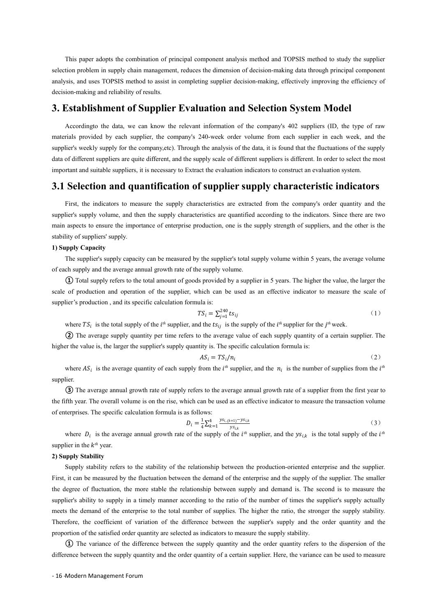This paper adopts the combination of principal component analysis method and TOPSIS method to study the supplier<br>tion problem in supply chain management, reduces the dimension of decision-making data through principal comp This paper adopts the combination of principal component analysis method and TOPSIS method to study the supplier selection problem in supply chain management, reduces the dimension of decision-making data through principal This paper adopts the combination of principal component analysis method and TOPSIS method to study the supplier<br>selection problem in supply chain management, reduces the dimension of decision-making data through principal This paper adopts the combination of principal component analysi<br>selection problem in supply chain management, reduces the dimension o<br>analysis, and uses TOPSIS method to assist in completing supplier deci<br>decision-making This paper adopts the combination of principal component analysis method and TOPSIS method to study the supplier<br>selection problem in supply chain management, reduces the dimension of decision-making data through principal This paper adopts the combination of principal component analysis method and TOPSIS method to study the supplier<br>tion problem in supply chain management, reduces the dimension of decision-making data through principal comp

This paper adopts the combination of principal component analysis method and TOPSIS method to study the supplier<br>selection problem in supply chain management, reduces the dimension of decision-making data through principal This paper adopts the combination of principal component analysis method and TOPSIS method to study the supplier<br>selection problem in supply chain management, reduces the dimension of decision-making data through principal France of decision-making and the suppliers are communitor of principal component analysis, and uses TOPSIS method to assist in completing supplier decision-making data through principal component analysis, and uses TOPSIS Suppliers and uses ToPPSIS metal through the district included to assist in completing supplier decision-making, effectively improving the efficiency of decision-making and reliability of results.<br> **3.** Establishment of Su This paper adopts the combination of principal component analysis method and TOPSIS method to study the supplier<br>selection problem in supply chain management, reduces the dimension of decision-making diata through principa **Establishment of Supplier Evaluation and Selection System Model**<br>Accordingto the data, we can know the relevant information of the company's 402 suppliers (ID, the type of raw<br>rials provided by each supplier, the company' Accordingto the data, we can know the relevant information of the company's 402 suppliers (ID, the type of raw<br>materials provided by each supplier, the company's 240-week order volume from each supplier in each week, and t note the suppliers to ensure the importance of enterprise production of the company's 3-20-week order volume from each supplier in each week, and the supplier's weekly supply of the company; etc). Through the analysis of t

materials provided by each supplier, the company s 2-to-<br>supplier's weekly supply for the company, etc). Through the<br>data of different suppliers are quite different, and the supply<br>important and suitable suppliers, it is n **1)** Suppliers weekly supply for the company, etc. It data of different suppliers are quite different, and important and suitable suppliers, it is necessary to **3.1 Selection and quantificatio** First, the indicators to mea The supplier's supplier's in a construction of supplier in the construction indicators in the measure of suppliers, it is necessary to Extract the evaluation indicators to construct an evaluation system.<br>
Selection and qua **3.1 Selection and quantification of supplier supply characterist**<br>First, the indicators to measure the supply characteristics are extracted from the company's expeplier's supply volume, and then the supply characteristics **Selection and quantification of supplier supply characteristic indicators**<br>First, the indicators to measure the supply characteristics are extracted from the company's order quantity and the<br>lier's supply volume, and the First, the indicators to measure the supply characteristics are extracted from the company's order quantity and the supplier's supply volume, and then the supply characteristics are quantified according to the indicators. First, the mateators to measure the supply characteristics are extracted from the compasupplier's supply volume, and then the supply characteristics are quantified according to the invarian aspects to ensure the importanc

aspects to ensure the importance of enterprise production, one is the<br>lity of suppliers' supply.<br>The supplier's supply capacity can be measured by the supplier's total s<br>ch supply and the average annual growth rate of the **the supplier is the supply subspace of the suppliers, and the other<br>
<b>the supplier's** total supply volume within 5 years, the average v<br>
with rate of the supply volume.<br>
nount of goods provided by a supplier in 5 years. *the the suppliers*, and the other is the<br>
ume within 5 years, the average volume<br>
ears. The higher the value, the larger the<br>
tive indicator to measure the scale of<br>
(1)<br>
<sup>th</sup> supplier for the *j*<sup>th</sup> week.<br>
upply quantit **Solution** The suppliers supply capacity can be measured by the supplier's total supply volume within 5 years, the average volume of the supply and the average annual growth rate of the supply volume.<br> **①** Total supply re **1) supply capacity**<br>
The supplier's supply capacity can be measured by the supplier's total supply volume within 5 years, the average volume<br> **(D** Total supply refers to the total amount of goods provided by a supplier i Consumptive and the average animal grown rate of the supply volume.<br>
(1) Total supply refers to the total amount of goods provided by a supplier in 5 years. The hight of production and operation of the supplier, which can by a supplier in 5 years. The higher the value, the larger the<br>
be used as an effective indicator to measure the scale of<br>  $t_1^{i_1} t s_{ij}$  (1)<br>
is the supply of the *i*<sup>th</sup> supplier for the *j*<sup>th</sup> week.<br>
age value of eac

$$
TS_i = \sum_{j=1}^{240} t s_{ij}
$$
 (1)

where  $TS_i$  is the total supply of the *i*<sup>th</sup> supplier, and the  $ts_{ij}$  is the supply of the *i*<sup>th</sup> supplier for the *j*<sup>th</sup> week.

$$
AS_i = TS_i/n_i \tag{2}
$$

*th* supplier.

inch can be used as an effective indicator to measure the scale of<br>
la is:<br>  $TS_i = \sum_{j=1}^{240} t s_{ij}$  (1)<br>
the  $ts_{ij}$  is the supply of the  $i^{th}$  supplier for the  $j^{th}$  week.<br>
the average value of each supply quantity of a **<sup>③</sup>** The average annual growth rate of supply refers to the average annual growth rate of a supplier from the first year to supprier s production, and its specific calculation formula is.<br>  $TS_i = \sum_{j=1}^{240} 15ij$  (1)<br>
where  $TS_i$  is the total supply of the *i<sup>jh</sup>* supplier, and the  $ts_{ij}$  is the supply quantity of a certain supplier. The<br>
higher **Solution**  $IS_i - 2_{j=1}$  (signt) where  $TS_i$  is the total supply of the *i*<sup>th</sup> supplier, and the  $ts_{ij}$  is the supply of the *i*<sup>th</sup> supply (2) The average supply quantity per time refers to the average value of each suppl to the average annual growth rate of a supplier from the first year to<br>
1 be used as an effective indicator to measure the transaction volume<br>
ws:<br>  $\sum_{k=1}^{4} \frac{y s_{i,(k+1)} - y s_{i,k}}{y s_{i,k}}$  (3)<br>
supply of the *i*<sup>th</sup> supplie EV The average supply quantity per time refers to the average value of each supply quantity of a c<br>
or the value is, the larger the supplier's supply quantity is. The specific calculation formula is:<br>  $AS_i = TS_i/n_i$ <br>
where  $AS_i$ *the* of each supply quantity of a certain supplier. The<br> *th* supplies from the *t<sup>th</sup>*<br> **therefore all supplier from the first year to<br>** *the total supplier*, and the *ys<sub>i,k</sub>* is the total supply of the *t<sup>th</sup>*<br> **the r** *the k<sup>th</sup>* year.<br> *AS<sub>i</sub>* =  $TS_i/n_i$ <br> *AS<sub>i</sub>* =  $TS_i/n_i$ <br> *AS<sub>i</sub>* =  $TS_i/n_i$ <br>
(2)<br>
where *AS<sub>i</sub>* is the average quantity of each supply from the *i<sup>th</sup>* supplier, and the *n<sub>i</sub>* is the number of supplies from the *i<sup>th</sup>*<br>
supp where  $AS_i$  is the average quantity of each supplier.<br> **3)** The average annual growth rate of suppl<br>
the fifth year. The overall volume is on the rise, w<br>
of enterprises. The specific calculation formula is<br>
where  $D_i$  is

$$
D_i = \frac{1}{4} \sum_{k=1}^{4} \frac{y s_{i,(k+1)} - y s_{i,k}}{y s_{i,k}}
$$
\n(3)

supplier in the  $k^{th}$  year.

First, it can be measured by the intertuation between the dentally of the degree of fluctuation, the more stable the relationship between st supplier's ability to supply in a timely manner according to the ratio comeets t where  $B_i$  is the average quantity of each supply from the t supplier, and the  $n_i$  is the number of supplier from the first year to the reference annual growth rate of supply refers to the average annual growth rate of a Supplier.<br> **Example 1** The average annual growth rate of supply refers to the average annual growth rate of a supplier from the first year to the fifth year. The overall volume is on the rise, which can be used as an effe The average annual grown rate of supply refers to the average annual grown rate or a supplier from the first year to<br>the fifth year. The overall volume is on the rise, which can be used as an effective indicator to measur supplier's ability to supply in a timely manner according to the ratio of the number of enterprises. The specific calculation formula is as follows:<br>  $D_i = \frac{1}{4} \sum_{k=1}^{4} \frac{y_{\bar{x}_i(k+1)} - y_{\bar{x}_i(k)}}{y_{\bar{x}_i(k)}}$  (3)<br>
where  $D_i$ or enterprises. The specific cactuation formula is as bottoms.<br>  $D_i = \frac{1}{4} \sum_{k=1}^{4} \frac{y_{S_i(k+1)} - y_{S_i k}}{y_{S_i k}}$  (3)<br>
supply of the  $i^{th}$ <br>
supplier in the  $k^m$  year.<br>
2) Supply stability<br>
Supply stability<br>
Supply stabili where  $D_i$  is the average annual growth rate of the supply of the  $i^{th}$  supplier, and the  $ys_{i,k}$  is the total supply of the  $i^{th}$  supplier in the  $k^h$  year.<br>
2) Supply Stability<br>
Supply Stability<br>
Supply stability<br>
Su where  $\nu_i$  is the average annual grown rate of the supply or the t supplier, and the  $y_{sik}$  is the total supply or the t<br>supplier in the  $k^a$  year.<br>2) Supply Stability refers to the stability of the relationship betwee **Examples The variance of the difference between the production-oriented enterprise and the supplier.** Supply Stability refers to the stability of the relationship between the production-oriented enterprise and the supplie System System of the stability of the relationship between the production-oriented enterprise and the supplier.<br>
Supply stability refers to the stability of the relationship between the production-oriented enterprise and t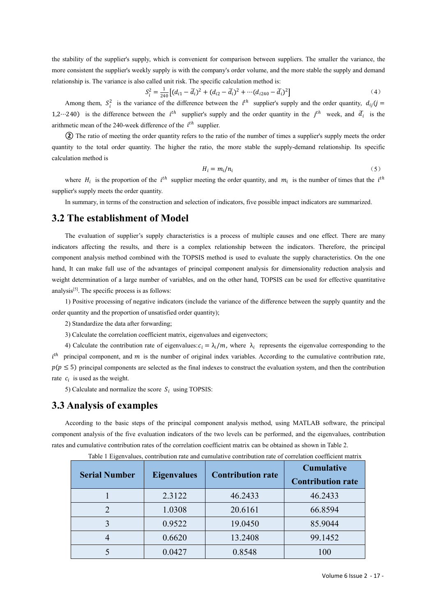the stability of the supplier's supply, which is convenient for comparison between suppliers. The smaller the variance, the more consistent the supplier's weekly supply is with the company's order volume, and the more sta the stability of the supplier's supply, which is convenient for comparison between suppliers. The smaller the variance, the more consistent the supplier's weekly supply is with the company's order volume, and the more sta the stability of the supplier's supply, which is convenient for comparison between suppliers. The smaller the variance,<br>more consistent the supplier's weekly supply is with the company's order volume, and the more stable ich is convenient for comparison between suppliers. The smaller the variance, the<br>pply is with the company's order volume, and the more stable the supply and demand<br> $1$  unit risk. The specific calculation method is:<br> $\frac{1$ tability of the supplier's supply, which is convertised<br>
consistent the supplier's weekly supply is with<br>
onship is. The variance is also called unit risk.<br>  $S_i^2 = \frac{1}{240} \left[ (d_{i1} - A_{\text{mong them}}, S_i^2) \right]$  is the variance of t lier's supply, which is convenient for comparison between suppliers. The small<br>lier's weekly supply is with the company's order volume, and the more stable the<br>nec is also called unit risk. The specific calculation method suppliers. The smaller the variance, the<br>
r volume, and the more stable the supply and demand<br>
ion method is:<br>  $\cdots (d_{i240} - \overline{d}_i)^2$  (4)<br>  $\cdots (d_{i240} - \overline{d}_i)^2$  (4)<br>  $\cdots$ <br>  $\cdots (d_{i240} - \overline{d}_i)^2$  and the order quantit the stability of the supplier's supply, which is convenient for comparison be<br>more consistent the supplier's weekly supply is with the company's order volu<br>relationship is. The variance is also called unit risk. The speci is convenient for comparison between suppliers. The smaller the variance, the<br>
is with the company's order volume, and the more stable the supply and demand<br>
it risk. The specific calculation method is:<br>  $(d_{i1} - \overline{d_i})^2 +$ smaller the variance, the<br>
ble the supply and demand<br>
(4)<br>
ne order quantity,  $d_{ij}(j =$ <br>
th week, and  $\overline{d}_i$  is the<br>
r's supply meets the order<br>
relationship. Its specifie the stability of the supplier's supply, which is convenient for comparison between<br>more consistent the supplier's weekly supply is with the company's order volume, and<br>relationship is. The variance is also called unit ris **Example 12** The supplier's supply, which is convenient for comparison between suppliers. The smaller the variance, the consistent the supplie's weekly supply is with the company's order volume, and the more stable the su the stability of the supplier's supply, which is convenient for comparison between suppliers. The smaller the variance, the more consistent the supplier's weekly supply is with the company's order volume, and the more sta

$$
S_i^2 = \frac{1}{240} \left[ (d_{i1} - \overline{d}_i)^2 + (d_{i2} - \overline{d}_i)^2 + \cdots + (d_{i240} - \overline{d}_i)^2 \right]
$$
 (4)

Among them,  $S_i^2$  is the variance of the difference between the *i*<sup>th</sup> supplier's supply and the order quantity,  $d_{ij}(j = 1)$ arithmetic mean of the 240-week difference of the  $i^{th}$  supplier.

the stability of the supplier's supply, which is convenient<br>more consistent the supplier's weekly supply is with the corelationship is. The variance is also called unit risk. The sp<br> $S_i^2 = \frac{1}{240} \left[ (d_{i1} - \overline{d}_i)^2 +$ <br>Am between the *i*<sup>th</sup> supplier's supply and the order quantity,  $d_{ij}(j =$ <br>
"s supply and the order quantity in the *j*<sup>th</sup> week, and  $\overline{d}_i$  is the<br>
ppplier.<br>
the ratio of the number of times a supplier's supply meets the buship is. The variance is also cancel unit risk. The spectric calculation<br>  $S_i^2 = \frac{1}{240} \left[ (d_{i1} - \overline{d}_i)^2 + (d_{i2} - \overline{d}_i)^2 + \cdots \right]$ <br>
Among them,  $S_i^2$  is the variance of the difference between the  $i^{th}$ <br>  $\cdot$ 240) is  $\frac{1}{40}$   $[(d_{i1} - \overline{d_i})^2 + (d_{i2} - \overline{d_i})^2 + \cdots (d_{i240} - \overline{d_i})^2]$  (4)<br>the difference between the  $i^{th}$  supplier's supply and the order quantity,  $d_{ij}(j = i^{th}$  supplier's supply and the order quantity,  $d_{ij}(j = i^{th}$  sup s<sub>i</sub>  $\frac{S_i - \frac{1}{240} [u_{i1} - u_i] + (u_{i2} - u_i)}{240}$ .<br>
Among them,  $S_i^2$  is the variance of the difference between the<br>
1,2...240) is the difference between the *i*<sup>th</sup> supplier's supply and<br>
arithmetic mean of the 240-week Although untit,  $S_i$  is the variance of the direction energy and the correct of the construction and the construction and the order quantity in the  $j^{th}$  week, and  $\overline{d}_i$  is the direction energ of the construction of

$$
H_i = m_i / n_i \tag{5}
$$

where  $H_i$  is the proportion of the  $i^{th}$  supplier meeting the order quantity, and  $m_i$  is the number of times that the  $i^{th}$ 

more consistent the supplier's weekly supply is with the company's order volume, and the more stable<br>relationship is. The variance is also called unit risk. The specific calculation method is:<br> $S_t^2 = \frac{1}{240} [(d_{t1} - \bar{d}_t$ The evaluation of supplier's supply characteristics is a process of multiple causes and relationship. Its specific<br>tity to the total order quantity. The higher the ratio of the more stable the supply-demand relationship. quality to the total ofted quality. The inglied the ratio, the indiversion the supply-definition method is<br>  $H_i = m_i/n_i$  (5)<br>
where  $H_i$  is the proportion of the  $i^{th}$  supplier meeting the order quantity, and  $m_i$  is the nu  $H_i = m_i/n_i$  (5)<br>where  $H_i$  is the proportion of the  $i^{th}$  supplier meeting the order quantity, and  $m_i$  is the number of times that the  $i^{th}$ <br>supplier's supply meets the order quantity.<br>In summary, in terms of the constru where  $H_t$  is the proportion of the  $i^{th}$  supplier meeting the order quantity, and  $m_t$  is the number of times that the  $i^{th}$  supplier's supply meets the order quantity.<br>In summary, in terms of the construction and sele supplier's supply mets the order quantity.<br>In summary, in terms of the construction and selection of indicators, five possible impact indicators are summarized.<br>**3.2 The establishment of Model**<br>The evaluation of supplier' **3.2 The establishment of Model**<br>The summary, in terms of the construction and selection of indicators, fivery<br>**3.2 The establishment of Model**<br>The evaluation of supplier's supply characteristics is a process of<br>indicator 1) Positive processing of negative indicators (include the variance), we possible impact indicators are saminarized.<br>
The evaluation of supplier's supply characteristics is a process of multiple causes and one effect. Ther **3.2 The establishment of Model**<br>The evaluation of supplier's supply characteristics is a process of multiple causes<br>indicators affecting the results, and there is a complex relationship between the ind<br>component analysis The evaluation of supplier's supply characteristics is a process<br>ators affecting the results, and there is a complex relationshi<br>ponent analysis method combined with the TOPSIS method is use<br>, It can make full use of the The evaluation of supplier s supply characteristics is a process of multiple causes and one effections affecting the results, and there is a complex relationship between the indicators. There conent analysis method combin above ance the results, and unter is a complex realatouslip velocies the minicialos. Therefore, the phinchipal<br>obsert analysis method combined with the TOPSIS method is used to evaluate the supply characteristies. On th component analysis method combined with the TOPSIS method is used to evaluat<br>hand, It can make full use of the advantages of principal component analysis fo<br>weight determination of a large number of variables, and on th

 $i^{th}$  principal component, and m is the number of original index variables. According to the cumulative contribution rate, component analysis metriod combined with the 10°NS metriod is used to evaluate the supply characteristics. On the one<br>and, It can make full use of the advantages of principal component analysis for dimensionality reductio and, it can these this does the evaluation of a large number of variables, and on the other hand, TOPSIS can be used for effective quantitative analysis<sup>[5]</sup>. The specific process is as follows:<br>
1) Positive processing of weight determination of a targe number of variables, and d<br>analysis<sup>[5]</sup>. The specific process is as follows:<br>1) Positive processing of negative indicators (include tl<br>order quantity and the proportion of unsatisfied orde SIS<sup>151</sup>. The specific process is as follows.<br>
1) Positive processing of negative indicators (include the variance of the difference b<br>
1) Positive processing of negative indicators (include the variance of the difference According to the correlation coefficient matrix, eigenvalues and eigenvectors;<br>
A) Calculate the correlation coefficient matrix, eigenvalues and eigenvectors;<br>
A calculate the contribution rate of eigenvalues:  $c_l = \lambda_l/m$ , Equivalent and the contribution interesting matrix, experiments, we can be performed, and experiment and  $p(p \leq 5)$  principal component, and *m* is the number of original index variables. According to the cumulative contr Figure 2.1 The matrix curve of the number of original index variables. According to the cumulative contribution rate,<br>  $p(p \leq 5)$  principal components are selected as the final indexes to construct the evaluation system,

Figures 1 Eigenvalues<br>
The state and normalize the score  $S_i$  using TOPSIS:<br>
1 ate and normalize the score  $S_i$  using TOPSIS:<br>
1 ate and normalize the score  $S_i$  using TOPSIS:<br>
1 ate and normalize the score  $S_i$  using TOP

|                                                       |                    | Calculate the contribution rate of eigenvalues: $c_i = \lambda_i/m$ , where $\lambda_i$ represents the eigenvalue corresponding to the |                                                                                                                         |
|-------------------------------------------------------|--------------------|----------------------------------------------------------------------------------------------------------------------------------------|-------------------------------------------------------------------------------------------------------------------------|
|                                                       |                    | ncipal component, and $m$ is the number of original index variables. According to the cumulative contribution rate,                    |                                                                                                                         |
|                                                       |                    |                                                                                                                                        | 5) principal components are selected as the final indexes to construct the evaluation system, and then the contribution |
| is used as the weight.                                |                    |                                                                                                                                        |                                                                                                                         |
| Calculate and normalize the score $S_i$ using TOPSIS: |                    |                                                                                                                                        |                                                                                                                         |
| nalysis of examples                                   |                    |                                                                                                                                        |                                                                                                                         |
|                                                       |                    |                                                                                                                                        | cording to the basic steps of the principal component analysis method, using MATLAB software, the principal             |
|                                                       |                    |                                                                                                                                        | ent analysis of the five evaluation indicators of the two levels can be performed, and the eigenvalues, contribution    |
|                                                       |                    | d cumulative contribution rates of the correlation coefficient matrix can be obtained as shown in Table 2.                             |                                                                                                                         |
|                                                       |                    | Table 1 Eigenvalues, contribution rate and cumulative contribution rate of correlation coefficient matrix                              |                                                                                                                         |
| <b>Serial Number</b>                                  | <b>Eigenvalues</b> | <b>Contribution rate</b>                                                                                                               | <b>Cumulative</b>                                                                                                       |
|                                                       |                    |                                                                                                                                        | <b>Contribution rate</b>                                                                                                |
| $\mathbf{1}$                                          | 2.3122             | 46.2433                                                                                                                                | 46.2433                                                                                                                 |
|                                                       | 1.0308             | 20.6161                                                                                                                                | 66.8594                                                                                                                 |
| $\overline{2}$                                        |                    |                                                                                                                                        |                                                                                                                         |
| 3                                                     | 0.9522             | 19.0450                                                                                                                                | 85.9044                                                                                                                 |
| $\overline{4}$                                        | 0.6620             | 13.2408                                                                                                                                | 99.1452                                                                                                                 |
| 5                                                     | 0.0427             | 0.8548                                                                                                                                 | 100                                                                                                                     |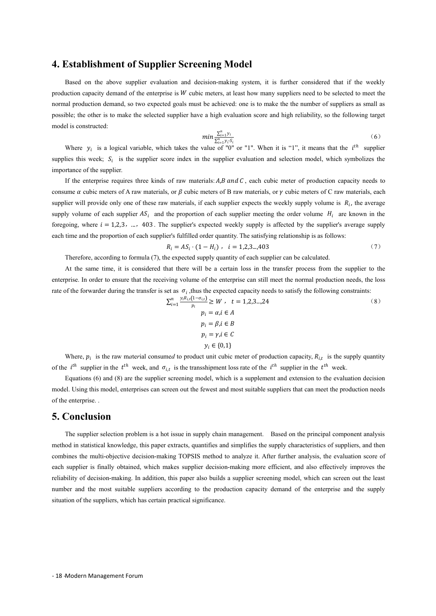**4. Establishment of Supplier Screening Model**<br>Based on the above supplier evaluation and decision-making system, it is further considered that if the weekly<br>production capacity demand of the enterprise is W cubic meters, Establishment of Supplier Screening Model<br>Based on the above supplier evaluation and decision-making system, it is further considered that if the weekly<br>uction capacity demand of the enterprise is  $W$  cubic meters, at lea **4. Establishment of Supplier Screening Model**<br>Based on the above supplier evaluation and decision-making system, it is further considered that if the weekly<br>production capacity demand of the enterprise is *W* cubic meters **4. Establishment of Supplier Screening Model**<br>Based on the above supplier evaluation and decision-making system, it is further considered that if the weekly<br>production capacity demand of the enterprise is W cubic meters, **4. Establishment of Supplier Screening Model**<br>
Based on the above supplier evaluation and decision-making system, it is further considered that if the weekly<br>
production capacity demand of the enterprise is W cubic meter **4. Establishment of Supplier**<br>Based on the above supplier evaluation<br>production capacity demand of the enterprise is<br>normal production demand, so two expected gc<br>possible; the other is to make the selected supp<br>model is **Establishment of Supplier Screening Model**<br>Based on the above supplier evaluation and decision-making system, it is further considered that if the weekly<br>uction capacity demand of the enterprise is W cubic meters, at lea **4. Establishment of Supplier Screening Model**<br>
Based on the above supplier evaluation and decision-making system, it is further considered that if the weekly<br>
production capacity demand of the enterprise is W cubic meter Based on the above supplier evaluation and dec<br>production capacity demand of the enterprise is W cubic<br>normal production demand, so two expected goals must<br>possible; the other is to make the selected supplier have<br>model i

$$
min \frac{\sum_{i=1}^{n} y_i}{\sum_{i=1}^{n} y_i \cdot S_i}
$$
\n
$$
(6)
$$

Where  $y_i$  is a logical variable, which takes the value of "0" or "1". When it is "1", it means that the *i*<sup>th</sup> supplier

In the anore suppose vealing in states in the enterprise is *W* using the enterprise is *W* using the enterprise is *W* using the enterprise is *W* using the enterprise is *W* using the enterprise is *W* using the achiev production capacity dentant of the enterprise is w cloot inclets, at reast now many suppries need to be serected to ineet the normal production demand, so two expected goals must be achieved: one is to make the the number supplier the only one of these raw materials, if each supplier and high reliability, so the following target<br>model is constructed:<br> $min \frac{\sum_{i=1}^{n} y_i}{\sum_{i=1}^{n} y_i}$  (6)<br>Where  $y_i$  is a logical variable, which takes the valu by the supplier is to make the selected supplier have a mgn evaluation scole and mgn rehability, so the blowthy aliget<br>model is constructed:<br> $min \frac{\sum_{i=1}^{n} y_i}{\sum_{i=1}^{n} y_i}$  (6)<br>supplies this veek;  $S_i$  is the supplier sco For expective the substance of the supplier's which takes the value of  $\frac{\sum_{i=1}^{n} y_i}{y_i}$  of  $\frac{y_i}{y_i}$  . (6)<br>
Where  $y_i$  is a logical variable, which takes the value of "0" or "1". When it is "1", it means that the  $i$ Where  $y_i$  is a logical variable, which takes the value of "0" or "1". When it is "1", it means that the *i*<sup>th</sup> supplier<br>supplies this week;  $S_i$  is the supplier score index in the supplier evaluation and selection model of raw materials: *A,B* and *C*, each cubic meter of production capacity needs to<br>s, or  $\beta$  cubic meters of B raw materials, or  $\gamma$  cubic meters of C raw materials, each<br>v materials, if each supplier expects the weekly Therefore, according to formula (7), the expected supply quantity of each supplier the formulation expection of the supplier.<br>The first experiment of the experimentals: A,B and C, each cubic meter of production capacity n First meeting the enterpies three kinds of raw materials: *A,B* and *C*, each cubic meter of production capacity needs to the enterprise requires the weakly supply or lume a cubic meters of A raw materials, or  $\beta$  cubic It use enterprise requires unce knuss of raw inaterias. A,B unut C, each convertient of ploouction capacity needs to<br>source a cubic meters of A raw materials, or  $\beta$  cubic meters of B raw materials, or  $\gamma$  cubic meters For the formula (7), the expected particle of the transfer is set as  $\sum_{i=1}^{n} \frac{y_i}{p_i} = \sum_{i=1}^{n} \sum_{i=1}^{n} P_i$ . If a we note traw materials, if and the proportion of each supplier expects the weekly supply volume is  $R$ 

$$
R_i = AS_i \cdot (1 - H_i) \ , \ \ i = 1, 2, 3 \dots, 403 \tag{7}
$$

At the same time, it is considered<br>enterprise. In order to ensure that the rec<br>rate of the forwarder during the transfer is<br>rate of the forwarder during the transfer is<br>of the *i*<sup>th</sup> supplier in the  $t^{th}$  week, and<br>Equa the same time, it is considered that there will be<br>se. In order to ensure that the receiving volume of the<br>forwarder during the transfer is set as  $\sigma_i$ , thus the<br> $\sum_{i=1}^{n} \frac{y_i R_{i,t}(1-\sigma_{i,t})}{p_i} \ge$ <br> $p_i =$ <br> $p_i =$ <br> $p_i$  =<br> $p_i$ 

each time and the proportion of each supplier's fulfilled order quantity. The satisfying relationship is as follows:  
\n
$$
R_i = AS_i \cdot (1 - H_i) , i = 1,2,3,...
$$
403 (7)  
\nTherefore, according to formula (7), the expected supply quantity of each supplier can be calculated.  
\nAt the same time, it is considered that there will be a certain loss in the transfer process from the supplier to the  
\nenterprise. In order to ensure that the receiving volume of the enterprise can still meet the normal production needs, the loss  
\nrate of the forwarder during the transfer is set as  $\sigma_i$ , thus the expected capacity needs to satisfy the following constraints:  
\n
$$
\sum_{i=1}^{n} \frac{y_i R_{i,t}(1-\sigma_{i,t})}{p_i} \geq W , t = 1,2,3,...
$$
24 (8)  
\n $p_i = \alpha, i \in A$   
\n $p_i = \beta, i \in B$   
\n $p_i = \gamma, i \in C$   
\n $y_i \in \{0,1\}$   
\nWhere,  $p_i$  is the raw material consumed to product unit cubic meter of production capacity,  $R_{i,t}$  is the supply quantity  
\nof the *i*<sup>th</sup> supplier in the *t*<sup>th</sup> week, and  $\sigma_{i,t}$  is the transplant loss rate of the *i*<sup>th</sup> supplier in the *t*<sup>th</sup> week.  
\nEquations (6) and (8) are the supplier screening model, which is a supplement and extension to the evaluation decision  
\nmodel. Using this model, enterprises can screen out the fewest and most suitable suppliers that can meet the production needs  
\nof the enterprise.

of the  $i^{th}$  supplier in the  $t^{th}$  week, and  $\sigma_{i,t}$  is the transshipment loss rate of the  $i^{th}$  supplier in the  $t^{th}$  week.

 $\sum_{i=1}^{\infty} \frac{p_i}{p_i}$ <br>
Where,  $p_i$  is the raw material consumed to produce of the  $i^{th}$  supplier in the  $t^{th}$  week, and  $\sigma_{i,t}$  is the tran Equations (6) and (8) are the supplier screening m model. Using this model,

Feriaonny of decision-making. In addition, this paper also bunds a suppliement and the most suitable suppliers according to the production situation of the suppliers, which has certain practical significance.<br>
Function of At the same time, it is considered that there will be a conterprise. In order to ensure that the receiving volume of the e rate of the forwarder during the transfer is set as  $\sigma_i$ , thus the expansion  $\sum_{i=1}^n \frac{y_i R_{iL}($ Where,  $p_i$  is the raw material consumed to product unit cubic meter of production capacity,  $R_{i,t}$  is the supply quantity<br>  $v_t^{th}$  supplier in the  $t^{th}$  week, and  $\sigma_{i,t}$  is the transshipment loss rate of the  $t^{th}$  s Where,  $p_i$  is the raw material consumed to product unit cubic meter of production capacity,  $R_{i,t}$  is the supply quantity<br>of the  $i^{th}$  supplier in the  $t^{th}$  week, and  $\sigma_{i,t}$  is the transshipment loss rate of the  $i^{$ For the multi-objective decision-making TOPSIS method to analyze it. After the method in state of the multi-objective decision-making method, which is a supplement and extension to the evaluation decision-<br>Equations (6) a Equivalent is finally obtained, which makes supplier supplier and the context of the context.<br>
Equivalent (6) and (8) are the supplier screening model, which is a supplement and extension to the evaluation decision-model. reliability of decision-making. In addition, this paper also builds a supplement and extension of the extendion needs<br>of the enterprise.<br>**5.** Conclusion<br>The supplier selection problem is a hot issue in supply chain managem node. Sang ans mode, enterprises can sected out the rewest and most suitable suppriets and can incert ine production recess<br>of the enterprise.<br>**5. Conclusion**<br>The supplier selection problem is a hot issue in supply chain m **5. Conclusion**<br>The supplier selection problem is a hot issue in supply chain management. Based or<br>method in statistical knowledge, this paper extracts, quantifies and simplifies the supply ch<br>combines the multi-objective